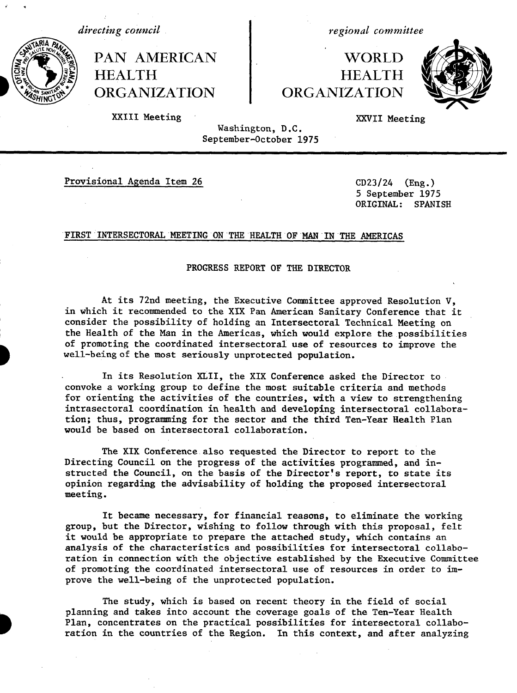PAN AMERICAN I WORLD HEALTH **HEALTH** ORGANIZATION ORGANIZATION

*directing council* and the regional committee



XXIII Meeting XXVII Meeting

Washington, D.C. September-October 1975

Provisional Agenda Item 26 CD23/24 (Eng.)

5 September 1975 ORIGINAL: SPANISH

# FIRST INTERSECTORAL MEETING ON THE HEALTH OF MAN IN THE AMERICAS

### PROGRESS REPORT OF THE DIRECTOR

At its 72nd meeting, the Executive Committee approved Resolution V, in which it recommended to the XIX Pan American Sanitary Conference that it consider the possibility of holding an Intersectoral Technical Meeting on the Health of the Man in the Americas, which would explore the possibilities of promoting the coordinated intersectoral use of resources to improve the well-being of the most seriously unprotected population.

In its Resolution XLII, the XIX Conference asked the Director to convoke a working group to define the most suitable criteria and methods for orienting the activities of the countries, with a view to strengthening intrasectoral coordination in health and developing intersectoral collaboration; thus, programming for the sector and the third Ten-Year Health Plan would be based on intersectoral collaboration.

The XIX Conference also requested the Director to report to the Directing Council on the progress of the activities programmed, and instructed the Council, on the basis of the Director's report, to state its opinion regarding the advisability of holding the proposed intersectoral meeting.

It became necessary, for financial reasons, to eliminate the working group, but the Director, wishing to follow through with this proposal, felt it would be appropriate to prepare the attached study, which contains an analysis of the characteristics and possibilities for intersectoral collaboration in connection with the objective established by the Executive Committee of promoting the coordinated intersectoral use of resources in order to improve the well-being of the unprotected population.

The study, which is based on recent theory in the field of social planning and takes into account the coverage goals of the Ten-Year Health Plan, concentrates on the practical possibilities for intersectoral collaboration in the countries of the Region. In this context, and after analyzing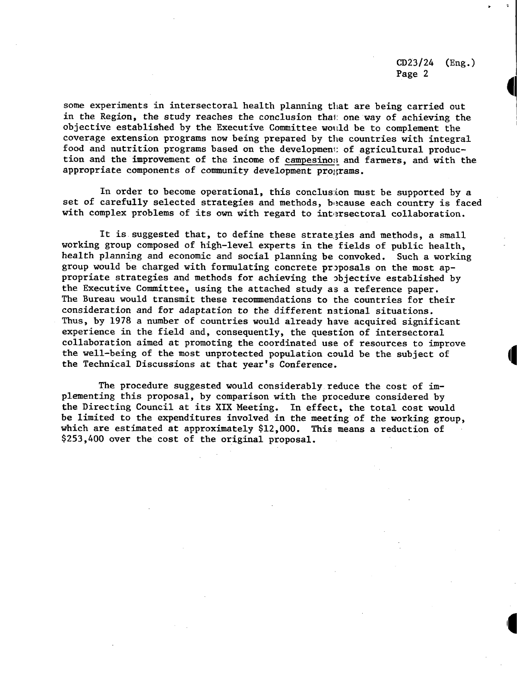some experiments in intersectoral health planning that are being carried out in the Region, the study reaches the conclusion that one way of achieving the objective established by the Executive Committee would be to complement the coverage extension programs now being prepared by the countries with integral food and nutrition programs based on the developmen: of agricultural production and the improvement of the income of campesino;: and farmers, and with the appropriate components of community development programs.

In order to become operational, this conclusion must be supported by a set of carefully selected strategies and methods, because each country is faced with complex problems of its own with regard to intersectoral collaboration.

It is suggested that, to define these strategies and methods, a small working group composed of high-level experts in the fields of public health, health planning and economic and social planning be convoked. Such a working group would be charged with formulating concrete proposals on the most appropriate strategies and methods for achieving the objective established by the Executive Committee, using the attached study as a reference paper. The Bureau would transmit these recommendations to the countries for their consideration and for adaptation to the different national situations. Thus, by 1978 a number of countries would already have acquired significant experience in the field and, consequently, the question of intersectoral collaboration aimed at promoting the coordinated use of resources to improve the well-being of the most unprotected population could be the subject of 4 the Technical Discussions at that year's Conference.

The procedure suggested would considerably reduce the cost of implementing this proposal, by comparison with the procedure considered by the Directing Council at its XIX Meeting. In effect, the total cost would be limited to the expenditures involved in the meeting of the working group, which are estimated at approximately \$12,000. This means a reduction of \$253,400 over the cost of the original proposal.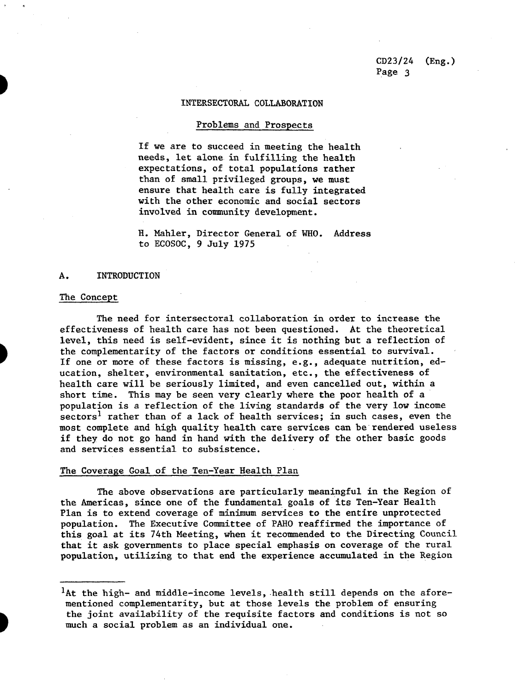### INTERSECTORAL COLLABORATION

# Problems and Prospects

If we are to succeed in meeting the health needs, let alone in fulfilling the health expectations, of total populations rather than of small privileged groups, we must ensure that health care is fully integrated with the other economic and social sectors involved in community development.

H. Mahler, Director General of WHO. Address to ECOSOC, 9 July 1975

### A. INTRODUCTION

### The Concept

The need for intersectoral collaboration in order to increase the effectiveness of health care has not been questioned. At the theoretical level, this need is self-evident, since it is nothing but a reflection of the complementarity of the factors or conditions essential to survival. If one or more of these factors is missing, e.g., adequate nutrition, education, shelter, environmental sanitation, etc., the effectiveness of health care will be seriously limited, and even cancelled out, within a short time. This may be seen very clearly where the poor health of a population is a reflection of the living standards of the very low income sectors<sup>1</sup> rather than of a lack of health services; in such cases, even the most complete and high quality health care services can be rendered useless if they do not go hand in hand with the delivery of the other basic goods and services essential to subsistence.

# The Coverage Goal of the Ten-Year Health Plan

The above observations are particularly meaningful in the Region of the Americas, since one of the fundamental goals of its Ten-Year Health Plan is to extend coverage of minimum services to the entire unprotected population. The Executive Committee of PAHO reaffirmed the importance of this goal at its 74th Meeting, when it recommended to the Directing Council that it ask governments to place special emphasis on coverage of the rural population, utilizing to that end the experience accumulated in the Region

<sup>&</sup>lt;sup>1</sup>At the high- and middle-income levels, health still depends on the aforementioned complementarity, but at those levels the problem of ensuring the joint availability of the requisite factors and conditions is not so much a social problem as an individual one.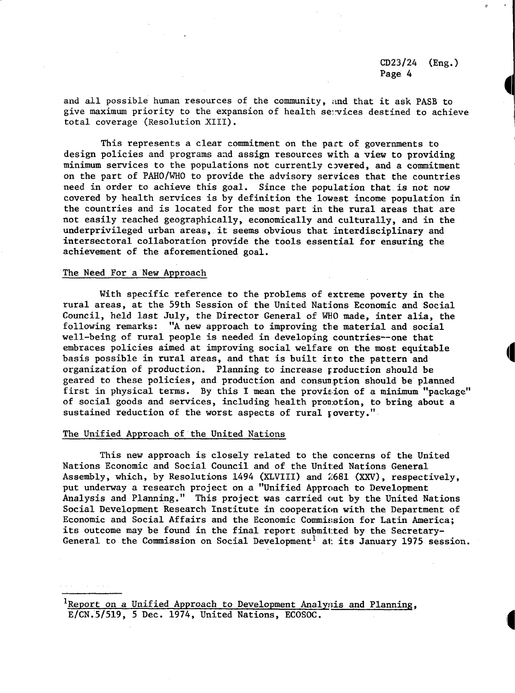c

and all possible human resources of the community, and that it ask PASB to give maximum priority to the expansion of health services destined to achieve total coverage (Resolution XIII).

This represents a clear commitment on the part of governments to design policies and programs and assign resources with a view to providing minimum services to the populations not currently covered, and a commitment on the part of PAHO/WHO to provide the advisory services that the countries need in order to achieve this goal. Since the population that is not now covered by health services is by definition the lowest income population in the countries and is located for the most part in the rural areas that are not easily reached geographically, economically and culturally, and in the underprivileged urban areas, it seems obvious that interdisciplinary and intersectoral collaboration provide the tools essential for ensuring the achievement of the aforementioned goal.

### The Need For a New Approach

With specific reference to the problems of extreme poverty in the rural areas, at the 59th Session of the United Nations Economic and Social Council, held last July, the Director General of WHO made, inter alia, the following remarks: "A new approach to improving the material and social well-being of rural people is needed in developing countries--one that embraces policies aimed at improving social welfare on the most equitable basis possible in rural areas, and that is built irto the pattern and organization of production. Planning to increase Froduction should be geared to these policies, and production and consumption should be planned first in physical terms. By this I mean the provieion of a minimum "package" of social goods and services, including health promotion, to bring about a sustained reduction of the worst aspects of rural poverty."

# The Unified Approach of the United Nations

This new approach is closely related to the concerns of the United Nations Economic and Social Council and of the United Nations General Assembly, which, by Resolutions 1494 (XLVIII) and 2681 (XXV), respectively, put underway a research project on a "Unified Approach to Development Analysis and Planning." This project was carried out by the United Nations Social Development Research Institute in cooperation with the Department of Economic and Social Affairs and the Economic Commission for Latin America; its outcome may be found in the final report submil:ted by the Secretary-General to the Commission on Social Development<sup>1</sup> at its January 1975 session.

'Report on a Unified Approach to Development Analysis and Planning, E/CN.5/519, 5 Dec. 1974, United Nations, ECOSOC.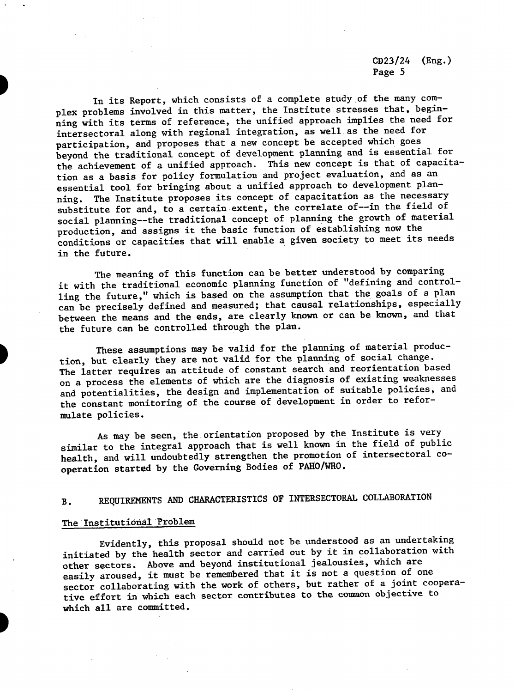In its Report, which consists of a complete study of the many complex problems involved in this matter, the Institute stresses that, beginning with its terms of reference, the unified approach implies the need for intersectoral along with regional integration, as well as the need for participation, and proposes that a new concept be accepted which goes beyond the traditional concept of development planning and is essential for the achievement of a unified approach. This new concept is that of capacitation as a basis for policy formulation and project evaluation, and as an essential tool for bringing about a unified approach to development planning. The Institute proposes its concept of capacitation as the necessary substitute for and, to a certain extent, the correlate of--in the field of social planning--the traditional concept of planning the growth of material production, and assigns it the basic function of establishing now the conditions or capacities that will enable a given society to meet its needs in the future.

The meaning of this function can be better understood by comparing it with the traditional economic planning function of "defining and controlling the future," which is based on the assumption that the goals of a plan can be precisely defined and measured; that causal relationships, especially between the means and the ends, are clearly known or can be known, and that the future can be controlled through the plan.

These assumptions may be valid for the planning of material production, but clearly they are not valid for the planning of social change. The latter requires an attitude of constant search and reorientation based on a process the elements of which are the diagnosis of existing weaknesses and potentialities, the design and implementation of suitable policies, and the constant monitoring of the course of development in order to reformulate policies.

As may be seen, the orientation proposed by the Institute is very similar to the integral approach that is well known in the field of public health, and will undoubtedly strengthen the promotion of intersectoral cooperation started by the Governing Bodies of PAHO/WHO.

# B. REQUIREMENTS AND CHARACTERISTICS OF INTERSECTORAL COLLABORATION

# The Institutional Problem

Evidently, this proposal should not be understood as an undertaking initiated by the health sector and carried out by it in collaboration with other sectors. Above and beyond institutional jealousies, which are easily aroused, it must be remembered that it is not a question of one sector collaborating with the work of others, but rather of a joint cooperative effort in which each sector contributes to the common objective to which all are committed.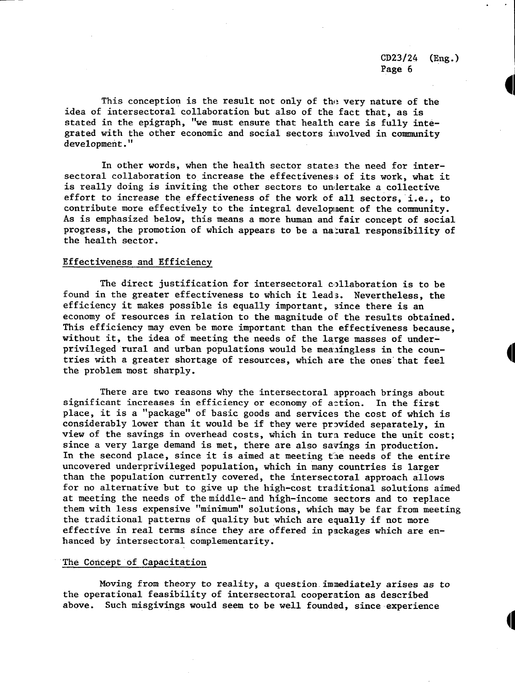**HI**

This conception is the result not only of the very nature of the idea of intersectoral collaboration but also of the fact that, as is stated in the epigraph, "we must ensure that health care is fully integrated with the other economic and social sectors involved in community development."

In other words, when the health sector states the need for intersectoral collaboration to increase the effectiveness of its work, what it is really doing is inviting the other sectors to undertake a collective effort to increase the effectiveness of the work of all sectors, i.e., to contribute more effectively to the integral development of the community. As is emphasized below, this means a more human and fair concept of social progress, the promotion of which appears to be a natural responsibility of the health sector.

# Effectiveness and Efficiency

The direct justification for intersectoral collaboration is to be found in the greater effectiveness to which it lead3. Nevertheless, the efficiency it makes possible is equally important, since there is an economy of resources in relation to the magnitude of the results obtained. This efficiency may even be more important than the effectiveness because, without it, the idea of meeting the needs of the large masses of underprivileged rural and urban populations would be meaningless in the countries with a greater shortage of resources, which are the ones that feel the problem most sharply.

There are two reasons why the intersectoral approach brings about significant increases in efficiency or economy of aztion. In the first place, it is a "package" of basic goods and services the cost of which is considerably lower than it would be if they were provided separately, in view of the savings in overhead costs, which in turn reduce the unit cost; since a very large demand is met, there are also savings in production. In the second place, since it is aimed at meeting the needs of the entire uncovered underprivileged population, which in many countries is larger than the population currently covered, the intersectoral approach allows for no alternative but to give up the high-cost traditional solutions aimed at meeting the needs of the middle- and high-income sectors and to replace them with less expensive "minimum" solutions, which may be far from meeting the traditional patterns of quality but which are equally if not more effective in real terms since they are offered in packages which are enhanced by intersectoral complementarity.

# The Concept of Capacitation

Moving from theory to reality, a question immediately arises as to the operational feasibility of intersectoral cooperation as described above. Such misgivings would seem to be well founded, since experience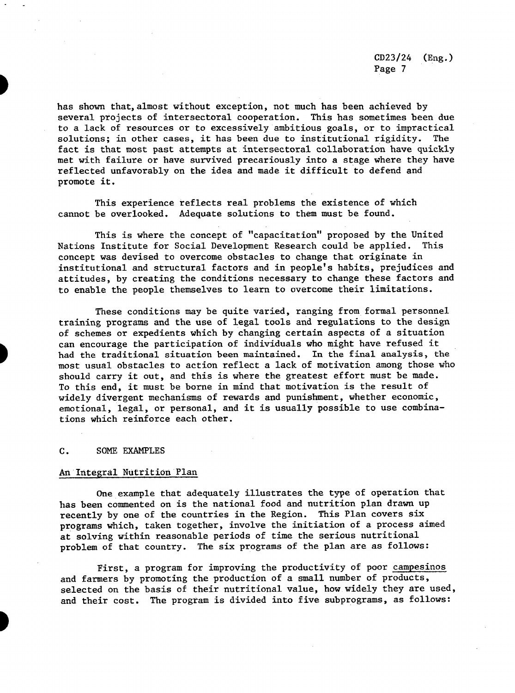has shown that,almost without exception, not much has been achieved by several projects of intersectoral cooperation. This has sometimes been due to a lack of resources or to excessively ambitious goals, or to impractical solutions; in other cases, it has been due to institutional rigidity. The fact is that most past attempts at intersectoral collaboration have quickly met with failure or have survived precariously into a stage where they have reflected unfavorably on the idea and made it difficult to defend and promote it.

This experience reflects real problems the existence of which cannot be overlooked. Adequate solutions to them must be found.

This is where the concept of "capacitation" proposed by the United Nations Institute for Social Development Research could be applied. This concept was devised to overcome obstacles to change that originate in institutional and structural factors and in people's habits, prejudices and attitudes, by creating the conditions necessary to change these factors and to enable the people themselves to learn to overcome their limitations.

These conditions may be quite varied, ranging from formal personnel training programs and the use of legal tools and regulations to the design of schemes or expedients which by changing certain aspects of a situation can encourage the participation of individuals who might have refused it had the traditional situation been maintained. In the final analysis, the most usual obstacles to action reflect a lack of motivation among those who should carry it out, and this is where the greatest effort must be made. To this end, it must be borne in mind that motivation is the result of widely divergent mechanisms of rewards and punishment, whether economic, emotional, legal, or personal, and it is usually possible to use combinations which reinforce each other.

### C. SOME EXAMPLES

# An Integral Nutrition Plan

One example that adequately illustrates the type of operation that has been commented on is the national food and nutrition plan drawn up recently by one of the countries in the Region. This Plan covers six programs which, taken together, involve the initiation of a process aimed at solving within reasonable periods of time the serious nutritional problem of that country. The six programs of the plan are as follows:

First, a program for improving the productivity of poor campesinos and farmers by promoting the production of a small number of products, selected on the basis of their nutritional value, how widely they are used, and their cost. The program is divided into five subprograms, as follows: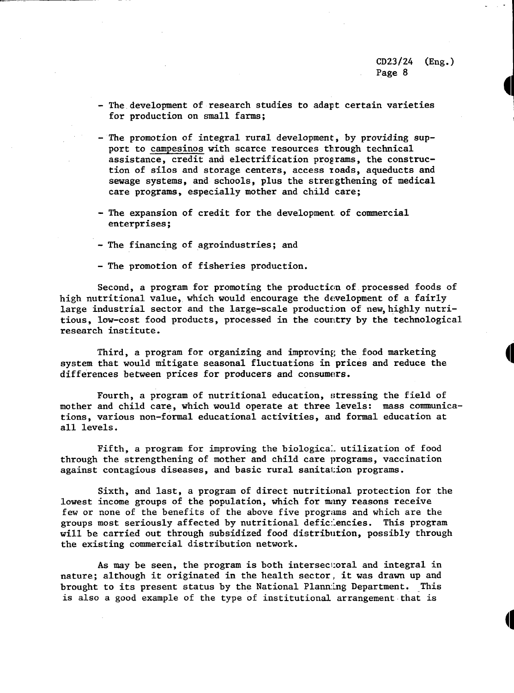- The development of research studies to adapt certain varieties for production on small farms;
- The promotion of integral rural development, by providing support to campesinos with scarce resources through technical assistance, credit and electrification programs, the construction of silos and storage centers, access zoads, aqueducts and sewage systems, and schools, plus the strengthening of medical care programs, especially mother and child care;
- The expansion of credit for the development. of commercial enterprises;
- The financing of agroindustries; and
- The promotion of fisheries production.

Second, a program for promoting the production of processed foods of high nutritional value, which would encourage the development of a fairly large industrial sector and the large-scale production of new, highly nutritious, low-cost food products, processed in the country by the technological research institute.

Third, a program for organizing and improving the food marketing system that would mitigate seasonal fluctuations in prices and reduce the differences between prices for producers and consumers.

Fourth, a program of nutritional education, stressing the field of mother and child care, which would operate at three levels: mass communications, various non-formal educational activities, and formal education at all levels.

Fifth, a program for improving the biological utilization of food through the strengthening of mother and child care programs, vaccination against contagious diseases, and basic rural sanitation programs.

Sixth, and last, a program of direct nutritional protection for the lowest income groups of the population, which for miny reasons receive few or none of the benefits of the above five programs and which are the groups most seriously affected by nutritional deficiencies. This program will be carried out through subsidized food distribution, possibly through the existing commercial distribution network.

As may be seen, the program is both intersectoral and integral in nature; although it originated in the health sector, it was drawn up and brought to its present status by the National Planning Department. This is also a good example of the type of institutional arrangement that is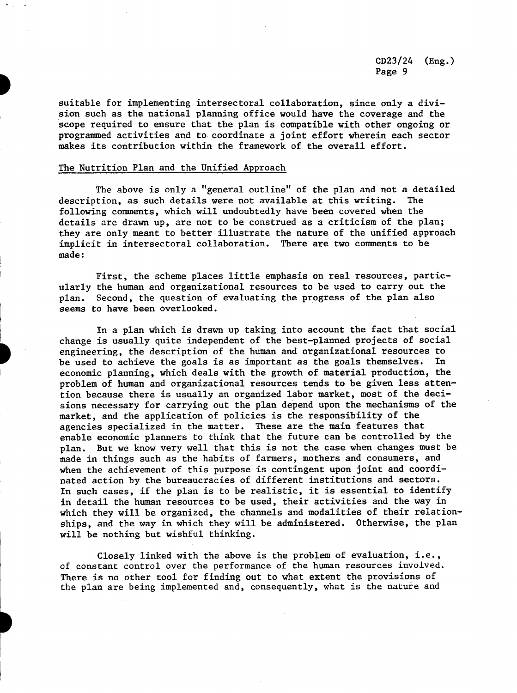suitable for implementing intersectoral collaboration, since only a division such as the national planning office would have the coverage and the scope required to ensure that the plan is compatible with other ongoing or programmed activities and to coordinate a joint effort wherein each sector makes its contribution within the framework of the overall effort.

# The Nutrition Plan and the Unified Approach

The above is only a "general outline" of the plan and not a detailed description, as such details were not available at this writing. The following comments, which will undoubtedly have been covered when the details are drawn up, are not to be construed as a criticism of the plan; they are only meant to better illustrate the nature of the unified approach implicit in intersectoral collaboration. There are two comments to be made:

First, the scheme places little emphasis on real resources, particularly the human and organizational resources to be used to carry out the plan. Second, the question of evaluating the progress of the plan also seems to have been overlooked.

In a plan which is drawn up taking into account the fact that social change is usually quite independent of the best-planned projects of social engineering, the description of the human and organizational resources to be used to achieve the goals is as important as the goals themselves. In economic planning, which deals with the growth of material production, the problem of human and organizational resources tends to be given less attention because there is usually an organized labor market, most of the decisions necessary for carrying out the plan depend upon the mechanisms of the market, and the application of policies is the responsibility of the agencies specialized in the matter. These are the main features that enable economic planners to think that the future can be controlled by the plan. But we know very well that this is not the case when changes must be made in things such as the habits of farmers, mothers and consumers, and when the achievement of this purpose is contingent upon joint and coordinated action by the bureaucracies of different institutions and sectors. In such cases, if the plan is to be realistic, it is essential to identify in detail the human resources to be used, their activities and the way in which they will be organized, the channels and modalities of their relationships, and the way in which they will be administered. Otherwise, the plan will be nothing but wishful thinking.

Closely linked with the above is the problem of evaluation, i.e., of constant control over the performance of the human resources involved. There is no other tool for finding out to what extent the provisions of the plan are being implemented and, consequently, what is the nature and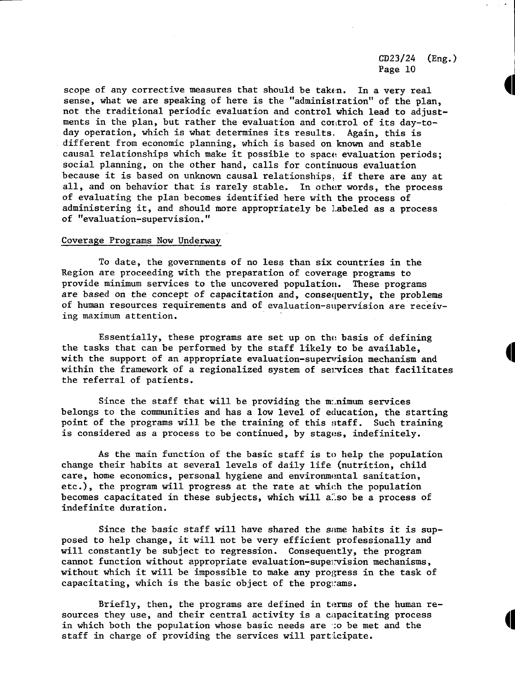scope of any corrective measures that should be taken. In a very real sense, what we are speaking of here is the "administration" of the plan, not the traditional periodic evaluation and control which lead to adjustments in the plan, but rather the evaluation and control of its day-today operation, which is what determines its results. Again, this is different from economic planning, which is based on known and stable causal relationships which make it possible to space evaluation periods; social planning, on the other hand, calls for continuous evaluation because it is based on unknown causal relationships, if there are any at all, and on behavior that is rarely stable. In other words, the process of evaluating the plan becomes identified here with the process of administering it, and should more appropriately be Labeled as a process of "evaluation-supervision."

# Coverage Programs Now Underway

To date, the governments of no less than six countries in the Region are proceeding with the preparation of coverage programs to provide minimum services to the uncovered population. These programs are based on the concept of capacitation and, consequently, the problems of human resources requirements and of evaluation-supervision are receiving maximum attention.

Essentially, these programs are set up on the basis of defining the tasks that can be performed by the staff likely to be available, with the support of an appropriate evaluation-supervision mechanism and within the framework of a regionalized system of services that facilitates the referral of patients.

Since the staff that will be providing the m:nimum services belongs to the communities and has a low level of education, the starting point of the programs will be the training of this staff. Such training is considered as a process to be continued, by stages, indefinitely.

As the main function of the basic staff is to help the population change their habits at several levels of daily life (nutrition, child care, home economics, personal hygiene and environmental sanitation, etc.), the program will progress at the rate at which the population becomes capacitated in these subjects, which will a"so be a process of indefinite duration.

Since the basic staff will have shared the same habits it is supposed to help change, it will not be very efficient professionally and will constantly be subject to regression. Consequently, the program cannot function without appropriate evaluation-supervision mechanisms, without which it will be impossible to make any progress in the task of capacitating, which is the basic object of the programs.

Briefly, then, the programs are defined in terms of the human resources they use, and their central activity is a capacitating process in which both the population whose basic needs are to be met and the staff in charge of providing the services will participate.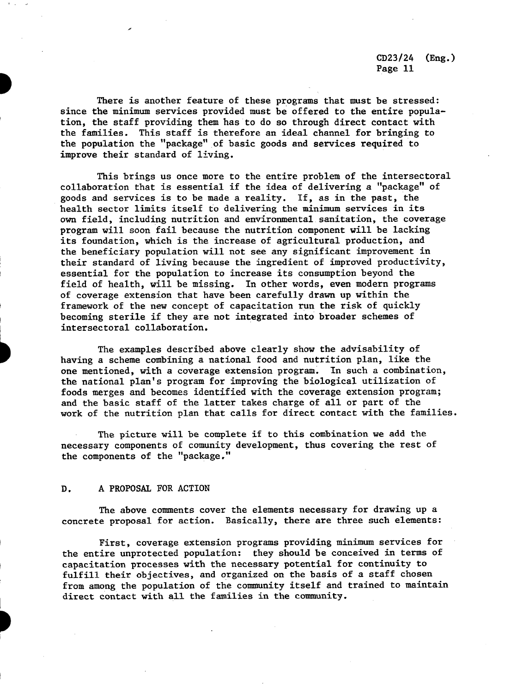There is another feature of these programs that must be stressed: since the minimum services provided must be offered to the entire population, the staff providing them has to do so through direct contact with the families. This staff is therefore an ideal channel for bringing to the population the "package" of basic goods and services required to improve their standard of living.

This brings us once more to the entire problem of the intersectoral collaboration that is essential if the idea of delivering a "package" of goods and services is to be made a reality. If, as in the past, the health sector limits itself to delivering the minimum services in its own field, including nutrition and environmental sanitation, the coverage program will soon fail because the nutrition component will be lacking its foundation, which is the increase of agricultural production, and the beneficiary population will not see any significant improvement in their standard of living because the ingredient of improved productivity, essential for the population to increase its consumption beyond the field of health, will be missing. In other words, even modern programs of coverage extension that have been carefully drawn up within the framework of the new concept of capacitation run the risk of quickly becoming sterile if they are not integrated into broader schemes of intersectoral collaboration.

The examples described above clearly show the advisability of having a scheme combining a national food and nutrition plan, like the one mentioned, with a coverage extension program. In such a combination, the national plan's program for improving the biological utilization of foods merges and becomes identified with the coverage extension program; and the basic staff of the latter takes charge of all or part of the work of the nutrition plan that calls for direct contact with the families.

The picture will be complete if to this combination we add the necessary components of comunity development, thus covering the rest of the components of the "package."

# D. A PROPOSAL FOR ACTION

The above comments cover the elements necessary for drawing up a concrete proposal for action. Basically, there are three such elements:

First, coverage extension programs providing minimum services for the entire unprotected population: they should be conceived in terms of capacitation processes with the necessary potential for continuity to fulfill their objectives, and organized on the basis of a staff chosen from among the population of the community itself and trained to maintain direct contact with all the families in the community.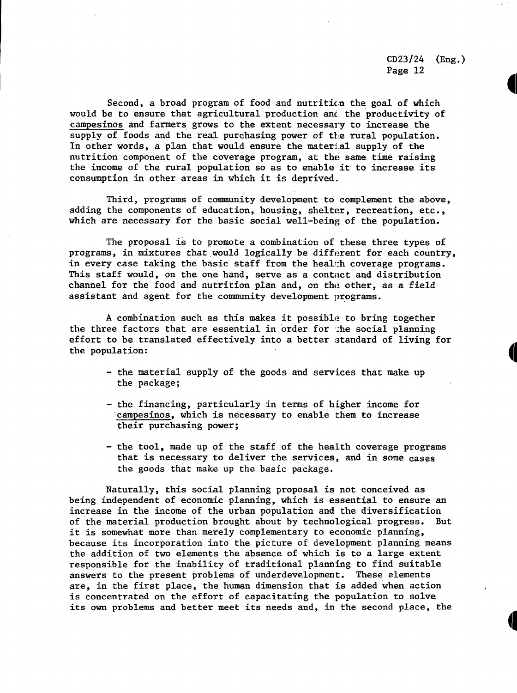**PI**

Second, a broad program of food and nutrition the goal of which would be to ensure that agricultural production ant the productivity of campesinos and farmers grows to the extent necessary to increase the supply of foods and the real purchasing power of the rural population. In other words, a plan that would ensure the material supply of the nutrition component of the coverage program, at the same time raising the income of the rural population so as to enable it to increase its consumption in other areas in which it is deprived,,

Third, programs of community development to complement the above, adding the components of education, housing, shelter, recreation, etc., which are necessary for the basic social well-being of the population.

The proposal is to promote a combination of these three types of programs, in mixtures that would logically be different for each country, in every case taking the basic staff from the health coverage programs. This staff would, on the one hand, serve as a contact and distribution channel for the food and nutrition plan and, on the other, as a field assistant and agent for the community development programs.

A combination such as this makes it possible to bring together the three factors that are essential in order for :he social planning effort to be translated effectively into a better standard of living for the population:

- the material supply of the goods and services that make up the package;
- the financing, particularly in terms of higher income for campesinos, which is necessary to enable them to increase their purchasing power;
- the tool, made up of the staff of the health coverage programs that is necessary to deliver the services, and in some cases the goods that make up the basic package.

Naturally, this social planning proposal is not conceived as being independent of economic planning, which is essential to ensure an increase in the income of the urban population and the diversification of the material production brought about by technological progress. But it is somewhat more than merely complementary to economic planning, because its incorporation into the picture of development planning means the addition of two elements the absence of which is to a large extent responsible for the inability of traditional planning to find suitable answers to the present problems of underdevelopment. These elements are, in the first place, the human dimension that is added when action is concentrated on the effort of capacitating the population to solve its own problems and better meet its needs and, in the second place, the